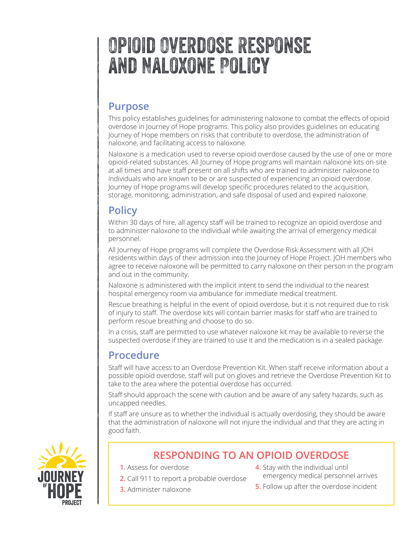# Opioid Overdose Response and Naloxone Policy

## **Purpose**

This policy establishes guidelines for administering naloxone to combat the effects of opioid overdose in Journey of Hope programs. This policy also provides guidelines on educating Journey of Hope members on risks that contribute to overdose, the administration of naloxone, and facilitating access to naloxone.

Naloxone is a medication used to reverse opioid overdose caused by the use of one or more opioid-related substances. All Journey of Hope programs will maintain naloxone kits on‐site at all times and have staff present on all shifts who are trained to administer naloxone to individuals who are known to be or are suspected of experiencing an opioid overdose. Journey of Hope programs will develop specific procedures related to the acquisition, storage, monitoring, administration, and safe disposal of used and expired naloxone.

# **Policy**

Within 30 days of hire, all agency staff will be trained to recognize an opioid overdose and to administer naloxone to the individual while awaiting the arrival of emergency medical personnel.

All Journey of Hope programs will complete the Overdose Risk Assessment with all JOH residents within days of their admission into the Journey of Hope Project. JOH members who agree to receive naloxone will be permitted to carry naloxone on their person in the program and out in the community.

Naloxone is administered with the implicit intent to send the individual to the nearest hospital emergency room via ambulance for immediate medical treatment.

Rescue breathing is helpful in the event of opioid overdose, but it is not required due to risk of injury to staff. The overdose kits will contain barrier masks for staff who are trained to perform rescue breathing and choose to do so.

In a crisis, staff are permitted to use whatever naloxone kit may be available to reverse the suspected overdose if they are trained to use it and the medication is in a sealed package.

# **Procedure**

Staff will have access to an Overdose Prevention Kit. When staff receive information about a possible opioid overdose, staff will put on gloves and retrieve the Overdose Prevention Kit to take to the area where the potential overdose has occurred.

Staff should approach the scene with caution and be aware of any safety hazards, such as uncapped needles.

If staff are unsure as to whether the individual is actually overdosing, they should be aware that the administration of naloxone will not injure the individual and that they are acting in good faith.



# **RESPONDING TO AN OPIOID OVERDOSE**

- **1.** Assess for overdose
	- **2.** Call 911 to report a probable overdose
	- **3.** Administer naloxone
- **4.** Stay with the individual until emergency medical personnel arrives
- **5.** Follow up after the overdose incident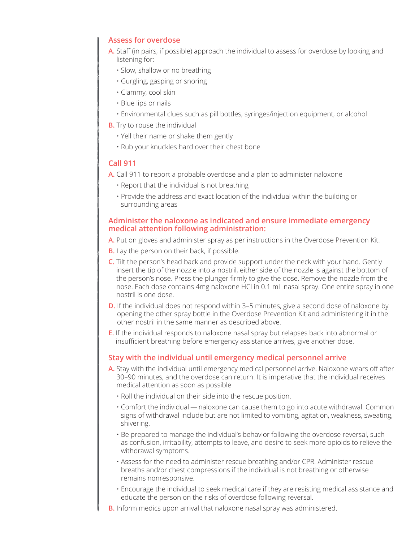#### **Assess for overdose**

- **A.** Staff (in pairs, if possible) approach the individual to assess for overdose by looking and listening for:
	- Slow, shallow or no breathing
	- Gurgling, gasping or snoring
	- Clammy, cool skin
	- Blue lips or nails
	- Environmental clues such as pill bottles, syringes/injection equipment, or alcohol
- **B.** Try to rouse the individual
	- Yell their name or shake them gently
	- Rub your knuckles hard over their chest bone

#### **Call 911**

- **A.** Call 911 to report a probable overdose and a plan to administer naloxone
	- Report that the individual is not breathing
	- Provide the address and exact location of the individual within the building or surrounding areas

#### **Administer the naloxone as indicated and ensure immediate emergency medical attention following administration:**

- **A.** Put on gloves and administer spray as per instructions in the Overdose Prevention Kit.
- **B.** Lay the person on their back, if possible.
- **C.** Tilt the person's head back and provide support under the neck with your hand. Gently insert the tip of the nozzle into a nostril, either side of the nozzle is against the bottom of the person's nose. Press the plunger firmly to give the dose. Remove the nozzle from the nose. Each dose contains 4mg naloxone HCl in 0.1 mL nasal spray. One entire spray in one nostril is one dose.
- **D.** If the individual does not respond within 3-5 minutes, give a second dose of naloxone by opening the other spray bottle in the Overdose Prevention Kit and administering it in the other nostril in the same manner as described above.
- **E.** If the individual responds to naloxone nasal spray but relapses back into abnormal or insufficient breathing before emergency assistance arrives, give another dose.

#### **Stay with the individual until emergency medical personnel arrive**

- **A.** Stay with the individual until emergency medical personnel arrive. Naloxone wears off after 30–90 minutes, and the overdose can return. It is imperative that the individual receives medical attention as soon as possible
	- Roll the individual on their side into the rescue position.
	- $\cdot$  Comfort the individual  $-$  naloxone can cause them to go into acute withdrawal. Common signs of withdrawal include but are not limited to vomiting, agitation, weakness, sweating, shivering.
	- Be prepared to manage the individual's behavior following the overdose reversal, such as confusion, irritability, attempts to leave, and desire to seek more opioids to relieve the withdrawal symptoms.
	- Assess for the need to administer rescue breathing and/or CPR. Administer rescue breaths and/or chest compressions if the individual is not breathing or otherwise remains nonresponsive.
	- Encourage the individual to seek medical care if they are resisting medical assistance and educate the person on the risks of overdose following reversal.
- **B.** Inform medics upon arrival that naloxone nasal spray was administered.